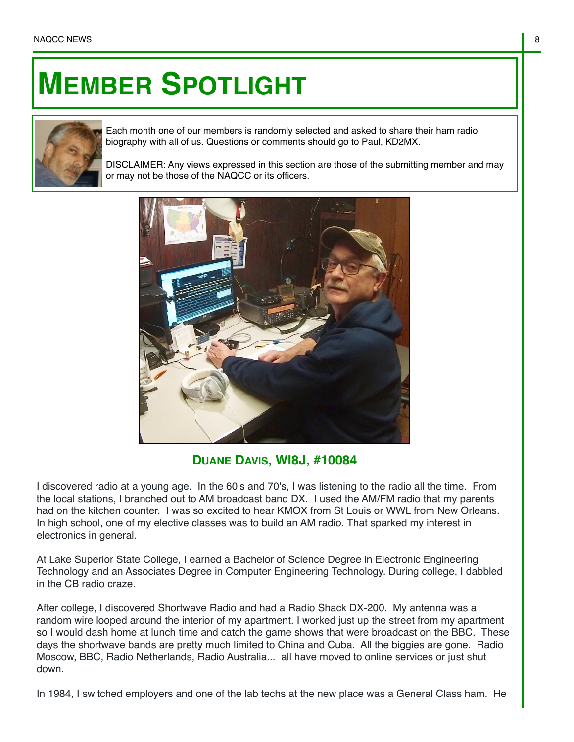## **MEMBER SPOTLIGHT**



Each month one of our members is randomly selected and asked to share their ham radio biography with all of us. Questions or comments should go to Paul, KD2MX.

DISCLAIMER: Any views expressed in this section are those of the submitting member and may or may not be those of the NAQCC or its officers.



**DUANE DAVIS, WI8J, #10084**

I discovered radio at a young age. In the 60's and 70's, I was listening to the radio all the time. From the local stations, I branched out to AM broadcast band DX. I used the AM/FM radio that my parents had on the kitchen counter. I was so excited to hear KMOX from St Louis or WWL from New Orleans. In high school, one of my elective classes was to build an AM radio. That sparked my interest in electronics in general.

At Lake Superior State College, I earned a Bachelor of Science Degree in Electronic Engineering Technology and an Associates Degree in Computer Engineering Technology. During college, I dabbled in the CB radio craze.

After college, I discovered Shortwave Radio and had a Radio Shack DX-200. My antenna was a random wire looped around the interior of my apartment. I worked just up the street from my apartment so I would dash home at lunch time and catch the game shows that were broadcast on the BBC. These days the shortwave bands are pretty much limited to China and Cuba. All the biggies are gone. Radio Moscow, BBC, Radio Netherlands, Radio Australia... all have moved to online services or just shut down.

In 1984, I switched employers and one of the lab techs at the new place was a General Class ham. He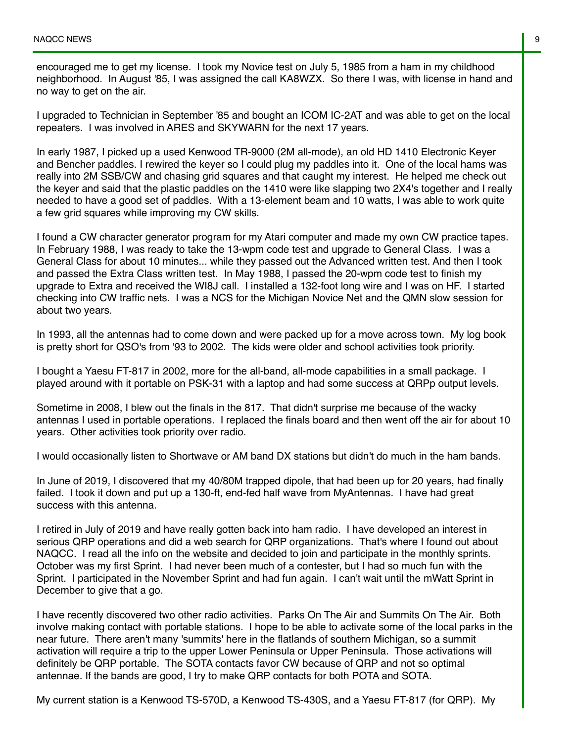encouraged me to get my license. I took my Novice test on July 5, 1985 from a ham in my childhood neighborhood. In August '85, I was assigned the call KA8WZX. So there I was, with license in hand and no way to get on the air.

I upgraded to Technician in September '85 and bought an ICOM IC-2AT and was able to get on the local repeaters. I was involved in ARES and SKYWARN for the next 17 years.

In early 1987, I picked up a used Kenwood TR-9000 (2M all-mode), an old HD 1410 Electronic Keyer and Bencher paddles. I rewired the keyer so I could plug my paddles into it. One of the local hams was really into 2M SSB/CW and chasing grid squares and that caught my interest. He helped me check out the keyer and said that the plastic paddles on the 1410 were like slapping two 2X4's together and I really needed to have a good set of paddles. With a 13-element beam and 10 watts, I was able to work quite a few grid squares while improving my CW skills.

I found a CW character generator program for my Atari computer and made my own CW practice tapes. In February 1988, I was ready to take the 13-wpm code test and upgrade to General Class. I was a General Class for about 10 minutes... while they passed out the Advanced written test. And then I took and passed the Extra Class written test. In May 1988, I passed the 20-wpm code test to finish my upgrade to Extra and received the WI8J call. I installed a 132-foot long wire and I was on HF. I started checking into CW traffic nets. I was a NCS for the Michigan Novice Net and the QMN slow session for about two years.

In 1993, all the antennas had to come down and were packed up for a move across town. My log book is pretty short for QSO's from '93 to 2002. The kids were older and school activities took priority.

I bought a Yaesu FT-817 in 2002, more for the all-band, all-mode capabilities in a small package. I played around with it portable on PSK-31 with a laptop and had some success at QRPp output levels.

Sometime in 2008, I blew out the finals in the 817. That didn't surprise me because of the wacky antennas I used in portable operations. I replaced the finals board and then went off the air for about 10 years. Other activities took priority over radio.

I would occasionally listen to Shortwave or AM band DX stations but didn't do much in the ham bands.

In June of 2019, I discovered that my 40/80M trapped dipole, that had been up for 20 years, had finally failed. I took it down and put up a 130-ft, end-fed half wave from MyAntennas. I have had great success with this antenna.

I retired in July of 2019 and have really gotten back into ham radio. I have developed an interest in serious QRP operations and did a web search for QRP organizations. That's where I found out about NAQCC. I read all the info on the website and decided to join and participate in the monthly sprints. October was my first Sprint. I had never been much of a contester, but I had so much fun with the Sprint. I participated in the November Sprint and had fun again. I can't wait until the mWatt Sprint in December to give that a go.

I have recently discovered two other radio activities. Parks On The Air and Summits On The Air. Both involve making contact with portable stations. I hope to be able to activate some of the local parks in the near future. There aren't many 'summits' here in the flatlands of southern Michigan, so a summit activation will require a trip to the upper Lower Peninsula or Upper Peninsula. Those activations will definitely be QRP portable. The SOTA contacts favor CW because of QRP and not so optimal antennae. If the bands are good, I try to make QRP contacts for both POTA and SOTA.

My current station is a Kenwood TS-570D, a Kenwood TS-430S, and a Yaesu FT-817 (for QRP). My